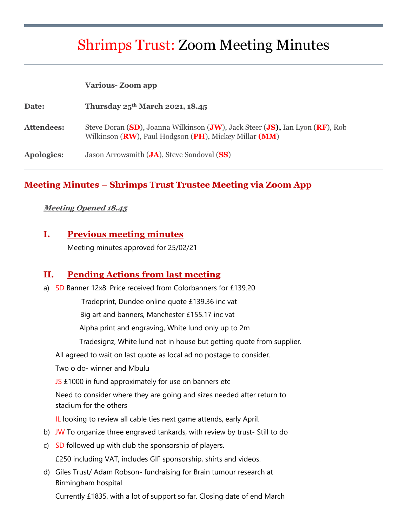# Shrimps Trust: Zoom Meeting Minutes

#### **Various- Zoom app**

| Date:             | Thursday $25^{th}$ March 2021, 18.45                                                                                                                             |
|-------------------|------------------------------------------------------------------------------------------------------------------------------------------------------------------|
| Attendees:        | Steve Doran (SD), Joanna Wilkinson (JW), Jack Steer (JS), Ian Lyon (RF), Rob<br>Wilkinson ( <b>RW</b> ), Paul Hodgson ( <b>PH</b> ), Mickey Millar ( <b>MM</b> ) |
| <b>Apologies:</b> | Jason Arrowsmith ( <b>JA</b> ), Steve Sandoval (SS)                                                                                                              |

### **Meeting Minutes – Shrimps Trust Trustee Meeting via Zoom App**

#### **Meeting Opened 18.45**

### **I. Previous meeting minutes**

Meeting minutes approved for 25/02/21

### **II. Pending Actions from last meeting**

a) SD Banner 12x8. Price received from Colorbanners for £139.20

Tradeprint, Dundee online quote £139.36 inc vat

Big art and banners, Manchester £155.17 inc vat

Alpha print and engraving, White lund only up to 2m

Tradesignz, White lund not in house but getting quote from supplier.

All agreed to wait on last quote as local ad no postage to consider.

Two o do- winner and Mbulu

JS £1000 in fund approximately for use on banners etc

Need to consider where they are going and sizes needed after return to stadium for the others

IL looking to review all cable ties next game attends, early April.

- b) JW To organize three engraved tankards, with review by trust-Still to do
- c) SD followed up with club the sponsorship of players.

£250 including VAT, includes GIF sponsorship, shirts and videos.

d) Giles Trust/ Adam Robson- fundraising for Brain tumour research at Birmingham hospital

Currently £1835, with a lot of support so far. Closing date of end March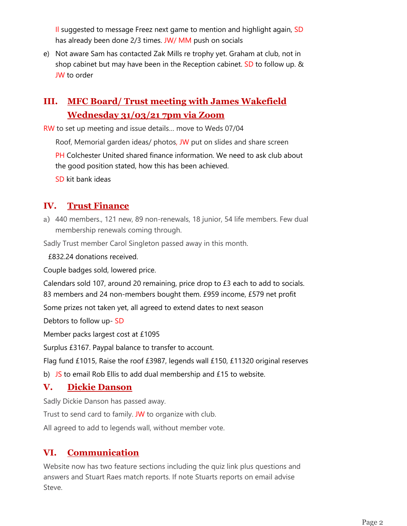Il suggested to message Freez next game to mention and highlight again, SD has already been done 2/3 times. JW/ MM push on socials

e) Not aware Sam has contacted Zak Mills re trophy yet. Graham at club, not in shop cabinet but may have been in the Reception cabinet. SD to follow up. & JW to order

# **III. MFC Board/ Trust meeting with James Wakefield Wednesday 31/03/21 7pm via Zoom**

RW to set up meeting and issue details… move to Weds 07/04

Roof, Memorial garden ideas/ photos, JW put on slides and share screen

PH Colchester United shared finance information. We need to ask club about the good position stated, how this has been achieved.

SD kit bank ideas

# **IV. Trust Finance**

a) 440 members., 121 new, 89 non-renewals, 18 junior, 54 life members. Few dual membership renewals coming through.

Sadly Trust member Carol Singleton passed away in this month.

£832.24 donations received.

Couple badges sold, lowered price.

Calendars sold 107, around 20 remaining, price drop to £3 each to add to socials. 83 members and 24 non-members bought them. £959 income, £579 net profit

Some prizes not taken yet, all agreed to extend dates to next season

Debtors to follow up- SD

Member packs largest cost at £1095

Surplus £3167. Paypal balance to transfer to account.

Flag fund £1015, Raise the roof £3987, legends wall £150, £11320 original reserves

b)  $\overline{JS}$  to email Rob Ellis to add dual membership and £15 to website.

# **V. Dickie Danson**

Sadly Dickie Danson has passed away.

Trust to send card to family. JW to organize with club.

All agreed to add to legends wall, without member vote.

# **VI. Communication**

Website now has two feature sections including the quiz link plus questions and answers and Stuart Raes match reports. If note Stuarts reports on email advise Steve.